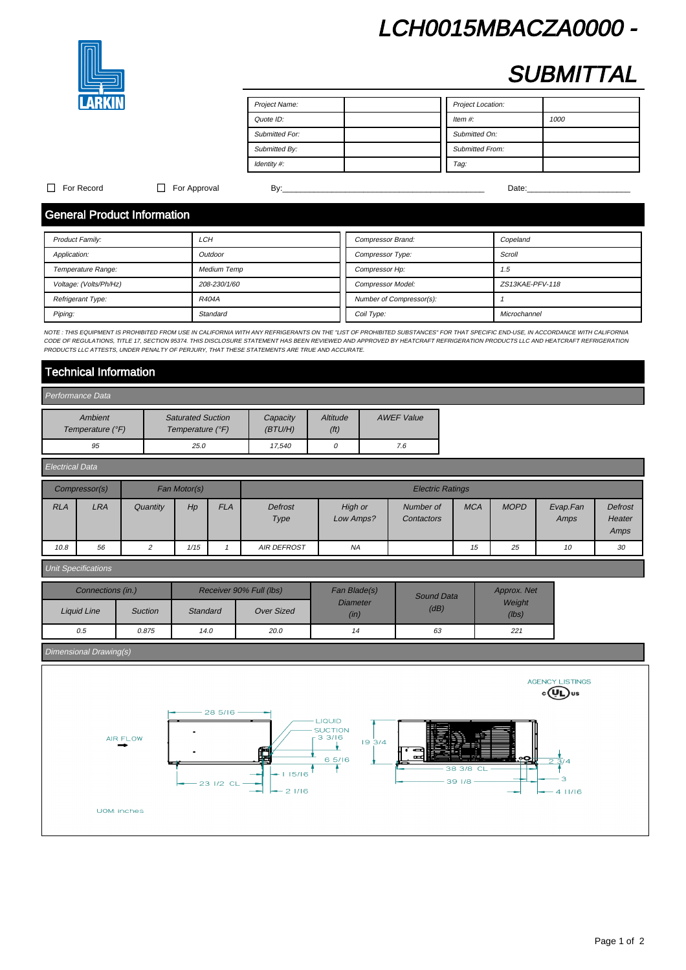# LCH0015MBACZA0000 -



# **SUBMITTAL**

| Project Name:  | Project Location:      |  |
|----------------|------------------------|--|
| Quote ID:      | Item $#$ :<br>1000     |  |
| Submitted For: | Submitted On:          |  |
| Submitted By:  | <b>Submitted From:</b> |  |
| Identity #:    | Tag:                   |  |

### For Record For Approval By:\_\_\_\_\_\_\_\_\_\_\_\_\_\_\_\_\_\_\_\_\_\_\_\_\_\_\_\_\_\_\_\_\_\_\_\_\_\_\_\_\_\_\_\_\_ Date:\_\_\_\_\_\_\_\_\_\_\_\_\_\_\_\_\_\_\_\_\_\_\_

# General Product Information

| <b>Product Family:</b> | LCH                | Compressor Brand:        | Copeland        |
|------------------------|--------------------|--------------------------|-----------------|
| Application:           | Outdoor            | Compressor Type:         | Scroll          |
| Temperature Range:     | <b>Medium Temp</b> | Compressor Hp:           | 1.5             |
| Voltage: (Volts/Ph/Hz) | 208-230/1/60       | <b>Compressor Model:</b> | ZS13KAE-PFV-118 |
| Refrigerant Type:      | R404A              | Number of Compressor(s): |                 |
| Piping:                | Standard           | Coil Type:               | Microchannel    |

NOTE : THIS EQUIPMENT IS PROHIBITED FROM USE IN CALIFORNIA WITH ANY REFRIGERANTS ON THE "LIST OF PROHIBITED SUBSTANCES" FOR THAT SPECIFIC END-USE, IN ACCORDANCE WITH CALIFORNIA CODE OF REGULATIONS, TITLE 17, SECTION 95374. THIS DISCLOSURE STATEMENT HAS BEEN REVIEWED AND APPROVED BY HEATCRAFT REFRIGERATION PRODUCTS LLC AND HEATCRAFT REFRIGERATION PRODUCTS AND HEATCRAFT REFRIGERATION PRODUCTS LLC A PRODUCTS LLC ATTESTS, UNDER PENALTY OF PERJURY, THAT THESE STATEMENTS ARE TRUE AND ACCURATE.

# Technical Information

| Performance Data            |                                              |                      |                               |                   |
|-----------------------------|----------------------------------------------|----------------------|-------------------------------|-------------------|
| Ambient<br>Temperature (°F) | <b>Saturated Suction</b><br>Temperature (°F) | Capacity<br>(BT U/H) | Altitude<br>(f <sup>t</sup> ) | <b>AWEF Value</b> |
| 95                          | 25.0                                         | 17.540               |                               | 7.6               |

| Electrical Data |               |          |              |            |                    |                      |                         |            |             |                  |                                  |
|-----------------|---------------|----------|--------------|------------|--------------------|----------------------|-------------------------|------------|-------------|------------------|----------------------------------|
|                 | Compressor(s) |          | Fan Motor(s) |            |                    |                      | <b>Electric Ratings</b> |            |             |                  |                                  |
| <b>RLA</b>      | LRA           | Quantity | Hp           | <b>FLA</b> | Defrost<br>Type    | High or<br>Low Amps? | Number of<br>Contactors | <b>MCA</b> | <b>MOPD</b> | Evap.Fan<br>Amps | <b>Defrost</b><br>Heater<br>Amps |
| 10.8            | 56            |          | 1/15         |            | <b>AIR DEFROST</b> | <b>NA</b>            |                         | 15         | 25          | 10               | 30                               |

### Unit Specifications

| Connections (in.)  |                |                 | Receiver 90% Full (lbs) | Fan Blade(s)            | Sound Data | Approx. Net<br>Weight<br>(lbs) |  |
|--------------------|----------------|-----------------|-------------------------|-------------------------|------------|--------------------------------|--|
| <b>Liquid Line</b> | <b>Suction</b> | <b>Standard</b> | <b>Over Sized</b>       | <b>Diameter</b><br>(in) | (dB)       |                                |  |
| 0.5                | 0.875          | 14.0            | 20.0                    | 14                      | 63         | 221                            |  |

### Dimensional Drawing(s)